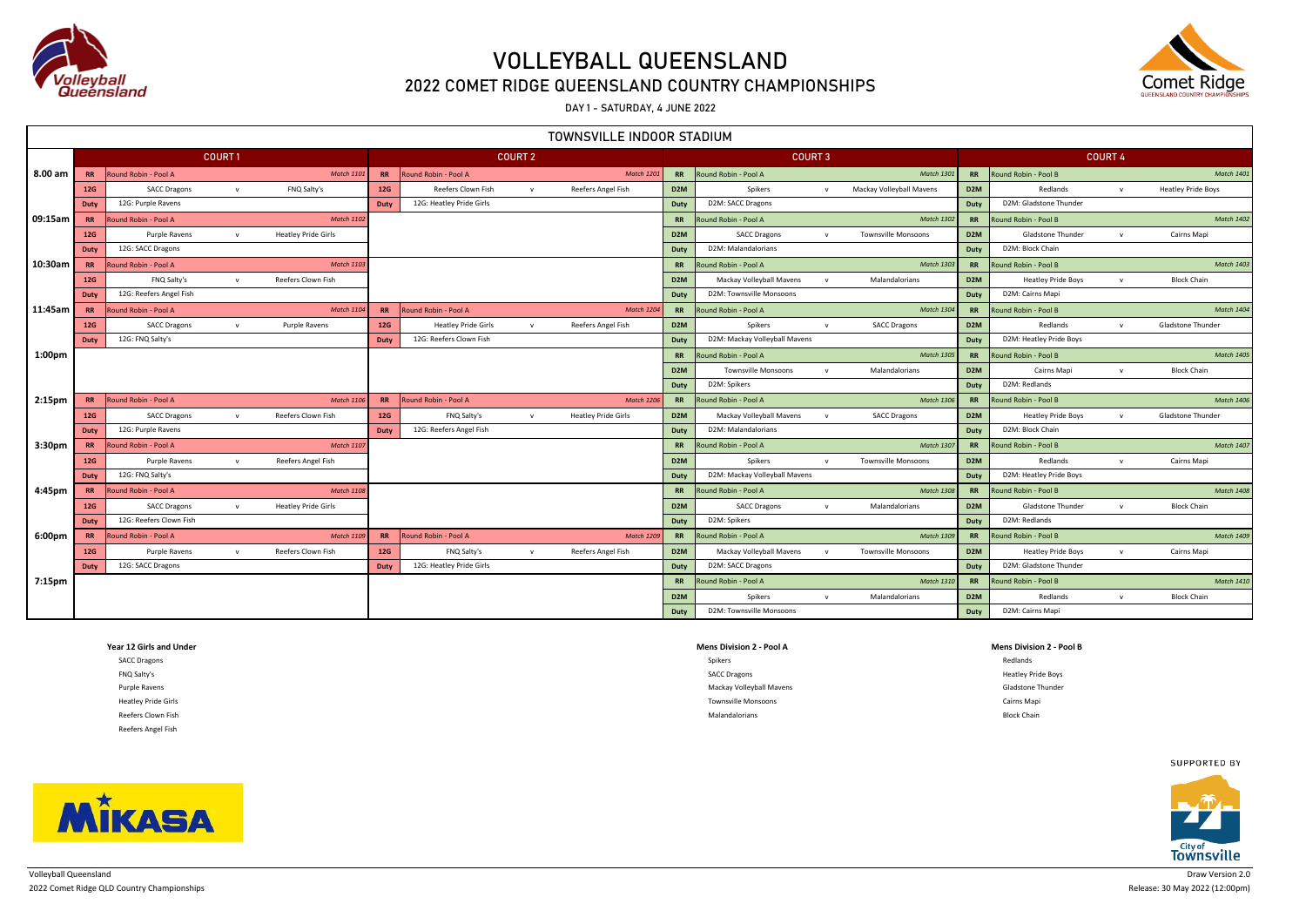

### 2022 COMET RIDGE QUEENSLAND COUNTRY CHAMPIONSHIPS

DAY 1 - SATURDAY, 4 JUNE 2022

|         | TOWNSVILLE INDOOR STADIUM |                                |               |                            |           |                            |                |                            |                  |                               |              |                            |                  |                           |                |                           |
|---------|---------------------------|--------------------------------|---------------|----------------------------|-----------|----------------------------|----------------|----------------------------|------------------|-------------------------------|--------------|----------------------------|------------------|---------------------------|----------------|---------------------------|
|         |                           |                                | <b>COURT1</b> |                            |           |                            | <b>COURT 2</b> |                            |                  | <b>COURT 3</b>                |              |                            |                  |                           | <b>COURT 4</b> |                           |
| 8.00 am |                           | <b>RR</b> Round Robin - Pool A |               | <b>Match 1101</b>          | <b>RR</b> | Round Robin - Pool A       |                | <b>Match 1201</b>          | <b>RR</b>        | Round Robin - Pool A          |              | Match 130                  | <b>RR</b>        | Round Robin - Pool B      |                | <b>Match 1401</b>         |
|         | 12G                       | <b>SACC Dragons</b>            | $\mathbf{v}$  | FNO Salty's                | 12G       | Reefers Clown Fish         | $\mathbf{v}$   | Reefers Angel Fish         | D <sub>2</sub> M | Spikers                       | $\mathbf{v}$ | Mackay Volleyball Mavens   | D <sub>2</sub> M | Redlands                  | $\mathsf{v}$   | <b>Heatley Pride Boys</b> |
|         | <b>Duty</b>               | 12G: Purple Ravens             |               |                            | Duty      | 12G: Heatley Pride Girls   |                |                            | Duty             | D2M: SACC Dragons             |              |                            | Duty             | D2M: Gladstone Thunder    |                |                           |
| 09:15am | <b>RR</b>                 | Round Robin - Pool A           |               | <b>Match 1102</b>          |           |                            |                |                            | <b>RR</b>        | Round Robin - Pool A          |              | <b>Match 1302</b>          | <b>RR</b>        | Round Robin - Pool B      |                | <b>Match 1402</b>         |
|         | 12G                       | Purple Ravens                  | $\mathbf{v}$  | <b>Heatley Pride Girls</b> |           |                            |                |                            | D <sub>2</sub> M | <b>SACC Dragons</b>           | $\mathbf{v}$ | <b>Townsville Monsoons</b> | D <sub>2</sub> M | Gladstone Thunder         | $\mathsf{v}$   | Cairns Mapi               |
|         | <b>Duty</b>               | 12G: SACC Dragons              |               |                            |           |                            |                |                            | Duty             | D2M: Malandalorians           |              |                            | Duty             | D2M: Block Chain          |                |                           |
| 10:30am | <b>RR</b>                 | Round Robin - Pool A           |               | <b>Match 1103</b>          |           |                            |                |                            | <b>RR</b>        | Round Robin - Pool A          |              | <b>Match 1303</b>          | <b>RR</b>        | Round Robin - Pool B      |                | <b>Match 1403</b>         |
|         | 12G                       | FNQ Salty's                    | $\mathbf{v}$  | Reefers Clown Fish         |           |                            |                |                            | D <sub>2</sub> M | Mackay Volleyball Mavens      | $\mathbf{v}$ | Malandalorians             | D <sub>2</sub> M | <b>Heatley Pride Boys</b> | $\mathsf{v}$   | <b>Block Chain</b>        |
|         | Duty                      | 12G: Reefers Angel Fish        |               |                            |           |                            |                |                            | Duty             | D2M: Townsville Monsoons      |              |                            | Duty             | D2M: Cairns Mapi          |                |                           |
| 11:45am | <b>RR</b>                 | Round Robin - Pool A           |               | <b>Match 1104</b>          | <b>RR</b> | Round Robin - Pool A       |                | <b>Match 1204</b>          | <b>RR</b>        | Round Robin - Pool A          |              | <b>Match 1304</b>          | <b>RR</b>        | Round Robin - Pool B      |                | <b>Match 1404</b>         |
|         | 12G                       | <b>SACC Dragons</b>            | $\mathbf{v}$  | Purple Ravens              | 12G       | <b>Heatley Pride Girls</b> | $\mathsf{v}$   | Reefers Angel Fish         | D <sub>2</sub> M | Spikers                       | $\mathbf{v}$ | <b>SACC Dragons</b>        | D <sub>2</sub> M | Redlands                  | $\mathsf{v}$   | Gladstone Thunder         |
|         | <b>Duty</b>               | 12G: FNQ Salty's               |               |                            | Duty      | 12G: Reefers Clown Fish    |                |                            | Duty             | D2M: Mackay Volleyball Mavens |              |                            | Duty             | D2M: Heatley Pride Boys   |                |                           |
| 1:00pm  |                           |                                |               |                            |           |                            |                |                            | <b>RR</b>        | Round Robin - Pool A          |              | Match 130                  | RR               | Round Robin - Pool B      |                | <b>Match 1405</b>         |
|         |                           |                                |               |                            |           |                            |                |                            | D <sub>2</sub> M | <b>Townsville Monsoons</b>    | $\mathbf v$  | Malandalorians             | D <sub>2</sub> M | Cairns Mapi               | $\mathsf{v}$   | <b>Block Chain</b>        |
|         |                           |                                |               |                            |           |                            |                |                            | Duty             | D2M: Spikers                  |              |                            | Duty             | D2M: Redlands             |                |                           |
| 2:15pm  | <b>RR</b>                 | Round Robin - Pool A           |               | <b>Match 1106</b>          | <b>RR</b> | Round Robin - Pool A       |                | Match 120                  | <b>RR</b>        | Round Robin - Pool A          |              | Match 130                  | <b>RR</b>        | Round Robin - Pool B      |                | <b>Match 1406</b>         |
|         | 12G                       | <b>SACC Dragons</b>            | $\mathbf{v}$  | Reefers Clown Fish         | 12G       | FNQ Salty's                | $\mathbf{v}$   | <b>Heatley Pride Girls</b> | D <sub>2</sub> M | Mackay Volleyball Mavens      | $\mathbf{v}$ | <b>SACC Dragons</b>        | D <sub>2</sub> M | <b>Heatley Pride Boys</b> | $\mathbf{v}$   | Gladstone Thunder         |
|         | <b>Duty</b>               | 12G: Purple Ravens             |               |                            | Duty      | 12G: Reefers Angel Fish    |                |                            | Duty             | D2M: Malandalorians           |              |                            | Duty             | D2M: Block Chain          |                |                           |
| 3:30pm  | <b>RR</b>                 | Round Robin - Pool A           |               | <b>Match 1107</b>          |           |                            |                |                            | <b>RR</b>        | Round Robin - Pool A          |              | Match 130                  | <b>RR</b>        | Round Robin - Pool B      |                | <b>Match 1407</b>         |
|         | 12G                       | Purple Ravens                  | $\mathbf{v}$  | Reefers Angel Fish         |           |                            |                |                            | D <sub>2</sub> M | Spikers                       | $\mathbf v$  | <b>Townsville Monsoons</b> | D <sub>2</sub> M | Redlands                  | $\mathsf{v}$   | Cairns Mapi               |
|         | <b>Duty</b>               | 12G: FNQ Salty's               |               |                            |           |                            |                |                            | Duty             | D2M: Mackay Volleyball Mavens |              |                            | Duty             | D2M: Heatley Pride Boys   |                |                           |
| 4:45pm  | <b>RR</b>                 | Round Robin - Pool A           |               | <b>Match 1108</b>          |           |                            |                |                            | <b>RR</b>        | Round Robin - Pool A          |              | Match 1308                 | <b>RR</b>        | Round Robin - Pool B      |                | <b>Match 1408</b>         |
|         | 12G                       | <b>SACC Dragons</b>            | $\mathbf{v}$  | <b>Heatley Pride Girls</b> |           |                            |                |                            | D <sub>2</sub> M | <b>SACC Dragons</b>           | $\mathbf{v}$ | Malandalorians             | D <sub>2</sub> M | Gladstone Thunder         | $\mathsf{v}$   | <b>Block Chain</b>        |
|         | <b>Duty</b>               | 12G: Reefers Clown Fish        |               |                            |           |                            |                |                            | Duty             | D2M: Spikers                  |              |                            | Duty             | D2M: Redlands             |                |                           |
| 6:00pm  | <b>RR</b>                 | Round Robin - Pool A           |               | <b>Match 1109</b>          | <b>RR</b> | Round Robin - Pool A       |                | Match 120                  | <b>RR</b>        | Round Robin - Pool A          |              | <b>Match 130</b>           | <b>RR</b>        | Round Robin - Pool B      |                | <b>Match 1409</b>         |
|         | 12G                       | Purple Ravens                  | $\mathbf{v}$  | Reefers Clown Fish         | 12G       | FNQ Salty's                | $\mathsf{v}$   | Reefers Angel Fish         | D <sub>2</sub> M | Mackay Volleyball Mavens      | $\mathbf{v}$ | <b>Townsville Monsoons</b> | D <sub>2</sub> M | <b>Heatley Pride Boys</b> | $\mathbf{v}$   | Cairns Mapi               |
|         | <b>Duty</b>               | 12G: SACC Dragons              |               |                            | Duty      | 12G: Heatley Pride Girls   |                |                            | Duty             | D2M: SACC Dragons             |              |                            | Duty             | D2M: Gladstone Thunder    |                |                           |
| 7:15pm  |                           |                                |               |                            |           |                            |                |                            | <b>RR</b>        | Round Robin - Pool A          |              | Match 131                  | RR               | Round Robin - Pool B      |                | <b>Match 1410</b>         |
|         |                           |                                |               |                            |           |                            |                |                            | D <sub>2</sub> M | Spikers                       | $\mathsf{v}$ | Malandalorians             | D <sub>2</sub> M | Redlands                  | $\mathbf{v}$   | <b>Block Chain</b>        |
|         |                           |                                |               |                            |           |                            |                |                            | Duty             | D2M: Townsville Monsoons      |              |                            | Duty             | D2M: Cairns Mapi          |                |                           |

| Year 12 Girls and Under    | <b>Mens Division 2 - Pool A</b> | <b>Mens Division 2 - Pool B</b> |
|----------------------------|---------------------------------|---------------------------------|
| <b>SACC Dragons</b>        | Spikers                         | Redlands                        |
| FNQ Salty's                | <b>SACC Dragons</b>             | <b>Heatley Pride Boys</b>       |
| Purple Ravens              | Mackay Volleyball Mavens        | Gladstone Thunder               |
| <b>Heatley Pride Girls</b> | <b>Townsville Monsoons</b>      | Cairns Mapi                     |
| Reefers Clown Fish         | Malandalorians                  | <b>Block Chain</b>              |
| Reefers Angel Fish         |                                 |                                 |





**MİKASA** 

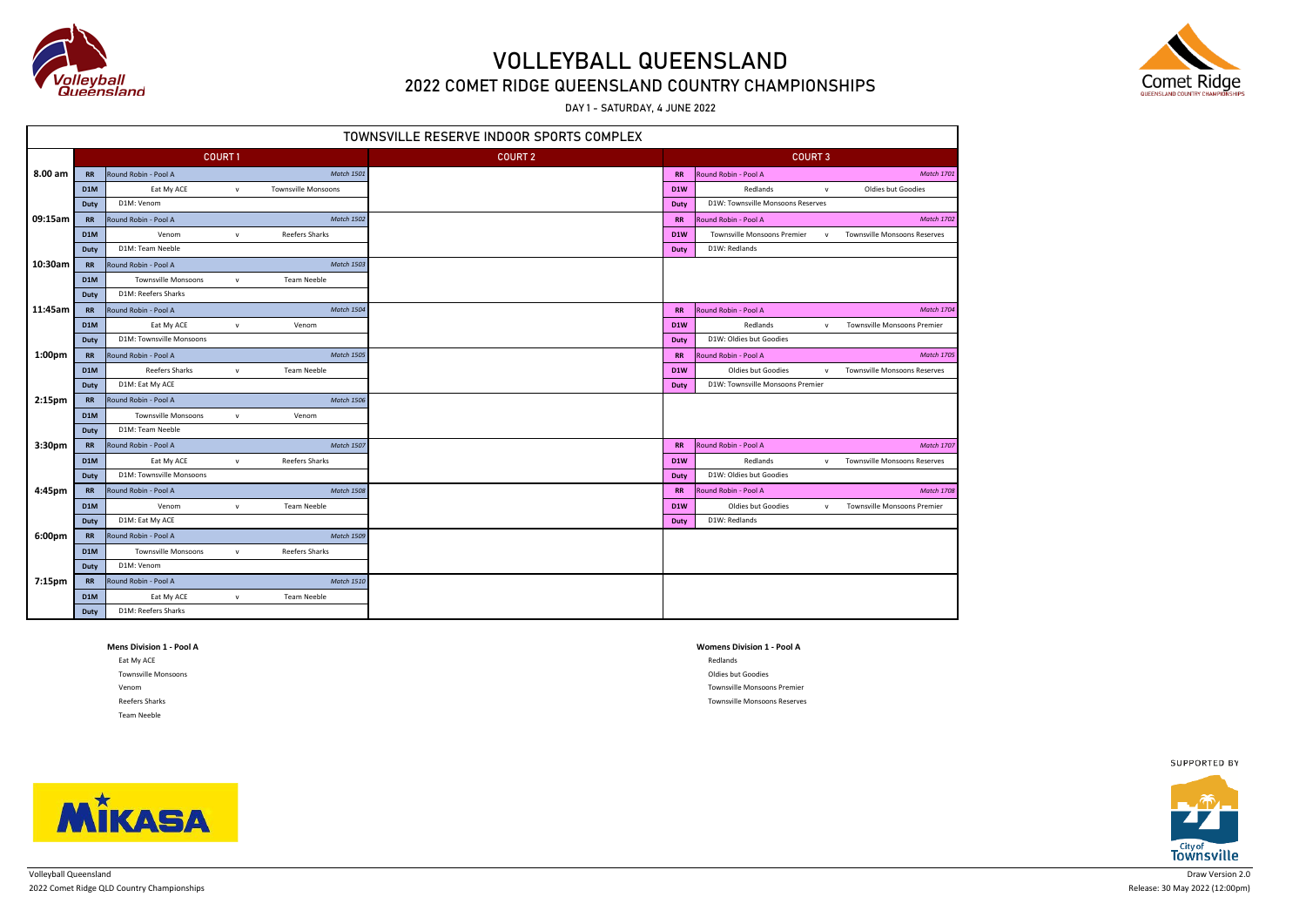

### 2022 COMET RIDGE QUEENSLAND COUNTRY CHAMPIONSHIPS

DAY 1 - SATURDAY, 4 JUNE 2022

| TOWNSVILLE RESERVE INDOOR SPORTS COMPLEX |                  |                                            |               |                            |                |                  |                                   |              |                                     |  |  |  |
|------------------------------------------|------------------|--------------------------------------------|---------------|----------------------------|----------------|------------------|-----------------------------------|--------------|-------------------------------------|--|--|--|
|                                          |                  |                                            | <b>COURT1</b> |                            | <b>COURT 2</b> |                  | <b>COURT 3</b>                    |              |                                     |  |  |  |
| 8.00 am                                  | <b>RR</b>        | Round Robin - Pool A                       |               | <b>Match 1501</b>          |                | <b>RR</b>        | Round Robin - Pool A              |              | <b>Match 1701</b>                   |  |  |  |
|                                          | D <sub>1</sub> M | Eat My ACE<br>$\mathsf{v}$                 |               | <b>Townsville Monsoons</b> |                | D <sub>1</sub> W | Redlands                          | ${\sf v}$    | Oldies but Goodies                  |  |  |  |
|                                          | Duty             | D1M: Venom                                 |               |                            |                | Duty             | D1W: Townsville Monsoons Reserves |              |                                     |  |  |  |
| 09:15am                                  | <b>RR</b>        | Round Robin - Pool A                       |               | <b>Match 1502</b>          |                | <b>RR</b>        | Round Robin - Pool A              |              | <b>Match 1702</b>                   |  |  |  |
|                                          | D <sub>1</sub> M | Venom                                      | $\mathsf{v}$  | <b>Reefers Sharks</b>      |                | D <sub>1</sub> W | Townsville Monsoons Premier       | $\mathsf{v}$ | <b>Townsville Monsoons Reserves</b> |  |  |  |
|                                          | Duty             | D1M: Team Neeble                           |               |                            |                | Duty             | D1W: Redlands                     |              |                                     |  |  |  |
| 10:30am                                  | <b>RR</b>        | Round Robin - Pool A                       |               | <b>Match 1503</b>          |                |                  |                                   |              |                                     |  |  |  |
|                                          | D <sub>1</sub> M | <b>Townsville Monsoons</b><br>$\mathsf{v}$ |               | <b>Team Neeble</b>         |                |                  |                                   |              |                                     |  |  |  |
|                                          | Duty             | D1M: Reefers Sharks                        |               |                            |                |                  |                                   |              |                                     |  |  |  |
| 11:45am                                  | <b>RR</b>        | Round Robin - Pool A                       |               | <b>Match 1504</b>          |                | <b>RR</b>        | Round Robin - Pool A              |              | <b>Match 1704</b>                   |  |  |  |
|                                          | D <sub>1</sub> M | Eat My ACE<br>$\mathsf{v}$                 |               | Venom                      |                | D <sub>1</sub> W | Redlands                          | $\mathsf{v}$ | <b>Townsville Monsoons Premier</b>  |  |  |  |
|                                          | Duty             | D1M: Townsville Monsoons                   |               |                            |                | <b>Duty</b>      | D1W: Oldies but Goodies           |              |                                     |  |  |  |
| 1:00pm                                   | <b>RR</b>        | Round Robin - Pool A                       |               | <b>Match 1505</b>          |                | <b>RR</b>        | Round Robin - Pool A              |              | <b>Match 1705</b>                   |  |  |  |
|                                          | D1M              | <b>Reefers Sharks</b>                      | $\mathbf{v}$  | <b>Team Neeble</b>         |                | D1W              | Oldies but Goodies                | $\mathsf{v}$ | Townsville Monsoons Reserves        |  |  |  |
|                                          | <b>Duty</b>      | D1M: Eat My ACE                            |               |                            |                | Duty             | D1W: Townsville Monsoons Premier  |              |                                     |  |  |  |
| 2:15 <sub>pm</sub>                       | <b>RR</b>        | Round Robin - Pool A                       |               | <b>Match 1506</b>          |                |                  |                                   |              |                                     |  |  |  |
|                                          | D1M              | <b>Townsville Monsoons</b>                 | $\mathsf{v}$  | Venom                      |                |                  |                                   |              |                                     |  |  |  |
|                                          | Duty             | D1M: Team Neeble                           |               |                            |                |                  |                                   |              |                                     |  |  |  |
| 3:30 <sub>pm</sub>                       | <b>RR</b>        | Round Robin - Pool A                       |               | <b>Match 1507</b>          |                | <b>RR</b>        | Round Robin - Pool A              |              | <b>Match 1707</b>                   |  |  |  |
|                                          | D <sub>1</sub> M | Eat My ACE                                 | $\mathbf{v}$  | <b>Reefers Sharks</b>      |                | D <sub>1</sub> W | Redlands                          | $\mathsf{v}$ | <b>Townsville Monsoons Reserves</b> |  |  |  |
|                                          | Duty             | D1M: Townsville Monsoons                   |               |                            |                | Duty             | D1W: Oldies but Goodies           |              |                                     |  |  |  |
| 4:45pm                                   | <b>RR</b>        | Round Robin - Pool A                       |               | <b>Match 1508</b>          |                | <b>RR</b>        | Round Robin - Pool A              |              | <b>Match 1708</b>                   |  |  |  |
|                                          | D1M              | Venom                                      | $\mathsf{v}$  | <b>Team Neeble</b>         |                | D1W              | Oldies but Goodies                | ${\sf v}$    | Townsville Monsoons Premier         |  |  |  |
|                                          | Duty             | D1M: Eat My ACE                            |               |                            |                | Duty             | D1W: Redlands                     |              |                                     |  |  |  |
| 6:00pm                                   | <b>RR</b>        | Round Robin - Pool A                       |               | <b>Match 1509</b>          |                |                  |                                   |              |                                     |  |  |  |
|                                          | D <sub>1</sub> M | <b>Townsville Monsoons</b>                 | $\mathsf{v}$  | Reefers Sharks             |                |                  |                                   |              |                                     |  |  |  |
|                                          | Duty             | D1M: Venom                                 |               |                            |                |                  |                                   |              |                                     |  |  |  |
| 7:15pm                                   | <b>RR</b>        | Round Robin - Pool A                       |               | <b>Match 1510</b>          |                |                  |                                   |              |                                     |  |  |  |
|                                          | D <sub>1</sub> M | Eat My ACE                                 | $\mathbf{v}$  | Team Neeble                |                |                  |                                   |              |                                     |  |  |  |
|                                          | Duty             | D1M: Reefers Sharks                        |               |                            |                |                  |                                   |              |                                     |  |  |  |

| <b>Mens Division 1 - Pool A</b> | <b>Womens Division 1</b> |
|---------------------------------|--------------------------|
| Eat My ACE                      | Redlands                 |
| <b>Townsville Monsoons</b>      | Oldies but Goodies       |
| Venom                           | <b>Townsville Monsoc</b> |
| Reefers Sharks                  | <b>Townsville Monsoc</b> |
| Team Neeble                     |                          |
|                                 |                          |

#### **Mens Division 1 - Pool A Womens Division 1 - Pool A**

Townsville Monsoons Premier Townsville Monsoons Reserves



SUPPORTED BY



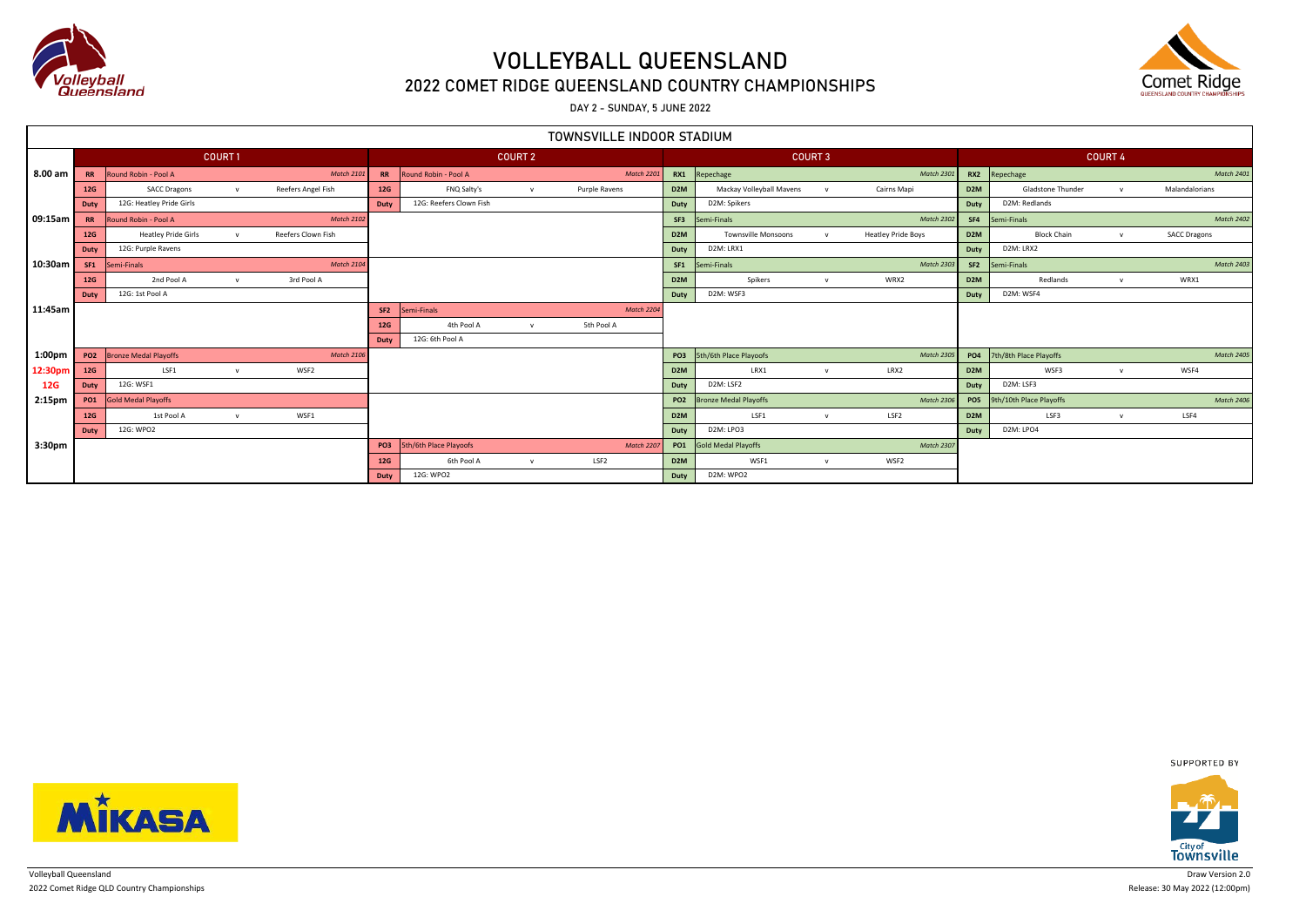

## 2022 COMET RIDGE QUEENSLAND COUNTRY CHAMPIONSHIPS

DAY 2 - SUNDAY, 5 JUNE 2022

| TOWNSVILLE INDOOR STADIUM |            |                              |              |                    |                 |                         |                |                   |                  |                              |                |                           |                  |                            |                |                     |
|---------------------------|------------|------------------------------|--------------|--------------------|-----------------|-------------------------|----------------|-------------------|------------------|------------------------------|----------------|---------------------------|------------------|----------------------------|----------------|---------------------|
|                           |            | COURT1                       |              |                    |                 |                         | <b>COURT 2</b> |                   |                  |                              | <b>COURT 3</b> |                           |                  |                            | <b>COURT 4</b> |                     |
| 8.00 am                   | RR         | Round Robin - Pool A         |              | <b>Match 2101</b>  | <b>RR</b>       | Round Robin - Pool A    |                | <b>Match 2201</b> | RX1              | Repechage                    |                | <b>Match 2301</b>         |                  | RX2 Repechage              |                | <b>Match 2401</b>   |
|                           | 12G        | <b>SACC Dragons</b>          | V            | Reefers Angel Fish | 12G             | FNQ Salty's             | $\mathbf{v}$   | Purple Ravens     | D <sub>2</sub> M | Mackay Volleyball Mavens     | $\mathbf{v}$   | Cairns Mapi               | D <sub>2M</sub>  | Gladstone Thunder          | $\mathbf{v}$   | Malandalorians      |
|                           | Duty       | 12G: Heatley Pride Girls     |              |                    | Duty            | 12G: Reefers Clown Fish |                |                   | Duty             | D2M: Spikers                 |                |                           | Duty             | D2M: Redlands              |                |                     |
| 09:15am                   | <b>RR</b>  | Round Robin - Pool A         |              | <b>Match 2102</b>  |                 |                         |                |                   | SF3              | Semi-Finals                  |                | <b>Match 2302</b>         | SF4              | Semi-Finals                |                | <b>Match 2402</b>   |
|                           | 12G        | <b>Heatley Pride Girls</b>   |              | Reefers Clown Fish |                 |                         |                |                   | D <sub>2</sub> M | <b>Townsville Monsoons</b>   | $\mathbf{v}$   | <b>Heatley Pride Boys</b> | D <sub>2</sub> M | <b>Block Chain</b>         | $\mathbf{v}$   | <b>SACC Dragons</b> |
|                           | Duty       | 12G: Purple Ravens           |              |                    |                 |                         |                |                   | Duty             | D2M: LRX1                    |                |                           | Duty             | D2M: LRX2                  |                |                     |
| 10:30am                   | SF1        | Semi-Finals                  |              | <b>Match 2104</b>  |                 |                         |                |                   | SF <sub>1</sub>  | Semi-Finals                  |                | <b>Match 2303</b>         | SF <sub>2</sub>  | Semi-Finals                |                | <b>Match 2403</b>   |
|                           | 12G        | 2nd Pool A                   | $\mathbf{v}$ | 3rd Pool A         |                 |                         |                |                   | D <sub>2</sub> M | Spikers                      | $\mathsf{v}$   | WRX2                      | D <sub>2</sub> M | Redlands                   | $\mathbf{v}$   | WRX1                |
|                           | Duty       | 12G: 1st Pool A              |              |                    |                 |                         |                |                   | Duty             | D2M: WSF3                    |                |                           | Duty             | D2M: WSF4                  |                |                     |
| 11:45am                   |            |                              |              |                    | SF <sub>2</sub> | Semi-Finals             |                | Match 2204        |                  |                              |                |                           |                  |                            |                |                     |
|                           |            |                              |              |                    | 12G             | 4th Pool A              | $\mathbf{v}$   | 5th Pool A        |                  |                              |                |                           |                  |                            |                |                     |
|                           |            |                              |              |                    | Duty            | 12G: 6th Pool A         |                |                   |                  |                              |                |                           |                  |                            |                |                     |
| 1:00 <sub>pm</sub>        | <b>PO2</b> | <b>Bronze Medal Playoffs</b> |              | <b>Match 2106</b>  |                 |                         |                |                   |                  | PO3 5th/6th Place Playoofs   |                | <b>Match 2305</b>         |                  | PO4 7th/8th Place Playoffs |                | <b>Match 2405</b>   |
| 12:30pm                   | <b>12G</b> | LSF1                         | $\mathbf{v}$ | WSF2               |                 |                         |                |                   | D <sub>2</sub> M | LRX1                         | $\mathsf{v}$   | LRX2                      | D <sub>2</sub> M | WSF3                       | $\mathbf{v}$   | WSF4                |
| 12G                       | Duty       | 12G: WSF1                    |              |                    |                 |                         |                |                   | Duty             | D2M: LSF2                    |                |                           | Duty             | D2M: LSF3                  |                |                     |
| 2:15pm                    | <b>PO1</b> | <b>Gold Medal Playoffs</b>   |              |                    |                 |                         |                |                   | <b>PO2</b>       | <b>Bronze Medal Playoffs</b> |                | <b>Match 2306</b>         | PO <sub>5</sub>  | 9th/10th Place Playoffs    |                | <b>Match 2406</b>   |
|                           | 12G        | 1st Pool A                   | $\mathsf{v}$ | WSF1               |                 |                         |                |                   | D <sub>2</sub> M | LSF1                         | V              | LSF <sub>2</sub>          | D <sub>2</sub> M | LSF3                       | $\mathbf{v}$   | LSF4                |
|                           | Duty       | 12G: WPO2                    |              |                    |                 |                         |                |                   | Duty             | D2M: LPO3                    |                |                           | Duty             | D2M: LPO4                  |                |                     |
| 3:30pm                    |            |                              |              |                    | PO3             | 5th/6th Place Playoofs  |                | Match 2207        | <b>PO1</b>       | Gold Medal Playoffs          |                | <b>Match 2307</b>         |                  |                            |                |                     |
|                           |            |                              |              |                    | 12G             | 6th Pool A              | $\mathsf{v}$   | LSF <sub>2</sub>  | D <sub>2</sub> M | WSF1                         | $\mathsf{v}$   | WSF2                      |                  |                            |                |                     |
|                           |            |                              |              |                    | Duty            | 12G: WPO2               |                |                   | Duty             | D2M: WPO2                    |                |                           |                  |                            |                |                     |



SUPPORTED BY